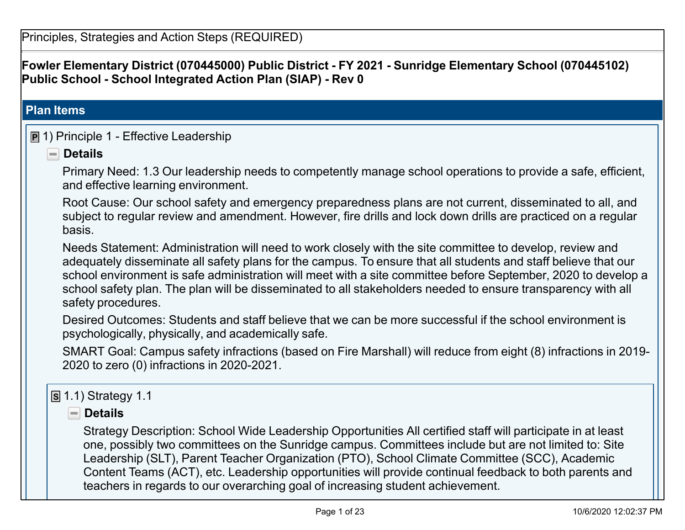**Fowler Elementary District (070445000) Public District - FY 2021 - Sunridge Elementary School (070445102) Public School - School Integrated Action Plan (SIAP) - Rev 0**

#### **Plan Items**

#### **P** 1) Principle 1 - Effective Leadership

**Details**

Primary Need: 1.3 Our leadership needs to competently manage school operations to provide a safe, efficient, and effective learning environment.

Root Cause: Our school safety and emergency preparedness plans are not current, disseminated to all, and subject to regular review and amendment. However, fire drills and lock down drills are practiced on a regular basis.

Needs Statement: Administration will need to work closely with the site committee to develop, review and adequately disseminate all safety plans for the campus. To ensure that all students and staff believe that our school environment is safe administration will meet with a site committee before September, 2020 to develop a school safety plan. The plan will be disseminated to all stakeholders needed to ensure transparency with all safety procedures.

Desired Outcomes: Students and staff believe that we can be more successful if the school environment is psychologically, physically, and academically safe.

SMART Goal: Campus safety infractions (based on Fire Marshall) will reduce from eight (8) infractions in 2019- 2020 to zero (0) infractions in 2020-2021.

## **S** 1.1) Strategy 1.1

**Details**

Strategy Description: School Wide Leadership Opportunities All certified staff will participate in at least one, possibly two committees on the Sunridge campus. Committees include but are not limited to: Site Leadership (SLT), Parent Teacher Organization (PTO), School Climate Committee (SCC), Academic Content Teams (ACT), etc. Leadership opportunities will provide continual feedback to both parents and teachers in regards to our overarching goal of increasing student achievement.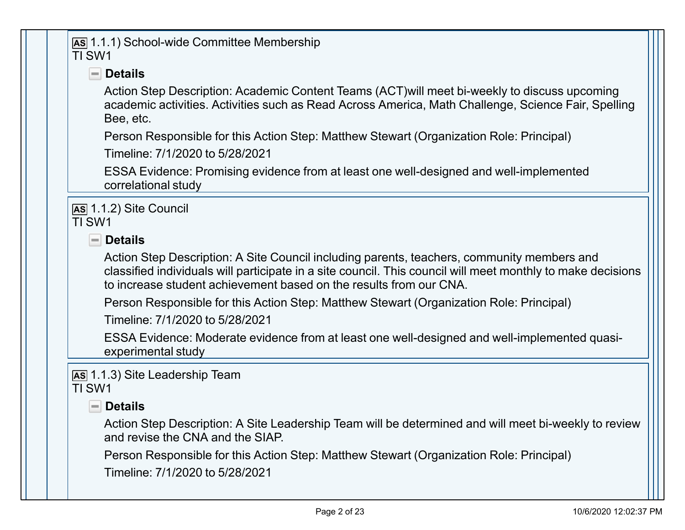#### **AS** 1.1.1) School-wide Committee Membership TI SW1

# **Details**

Action Step Description: Academic Content Teams (ACT)will meet bi-weekly to discuss upcoming academic activities. Activities such as Read Across America, Math Challenge, Science Fair, Spelling Bee, etc.

Person Responsible for this Action Step: Matthew Stewart (Organization Role: Principal)

Timeline: 7/1/2020 to 5/28/2021

ESSA Evidence: Promising evidence from at least one well-designed and well-implemented correlational study

**AS** 1.1.2) Site Council TI SW1

**Details**

Action Step Description: A Site Council including parents, teachers, community members and classified individuals will participate in a site council. This council will meet monthly to make decisions to increase student achievement based on the results from our CNA.

Person Responsible for this Action Step: Matthew Stewart (Organization Role: Principal)

Timeline: 7/1/2020 to 5/28/2021

ESSA Evidence: Moderate evidence from at least one well-designed and well-implemented quasiexperimental study

**AS** 1.1.3) Site Leadership Team TI SW1

## **Details**

Action Step Description: A Site Leadership Team will be determined and will meet bi-weekly to review and revise the CNA and the SIAP.

Person Responsible for this Action Step: Matthew Stewart (Organization Role: Principal)

Timeline: 7/1/2020 to 5/28/2021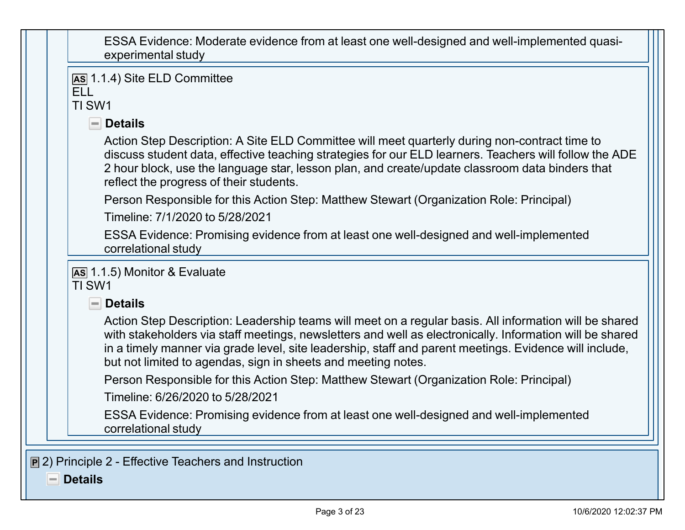| ESSA Evidence: Moderate evidence from at least one well-designed and well-implemented quasi- |
|----------------------------------------------------------------------------------------------|
| experimental study                                                                           |

| <b>ELL</b><br>TI SW1                                                                                                                                                                                                                                                                                                                                                                          |
|-----------------------------------------------------------------------------------------------------------------------------------------------------------------------------------------------------------------------------------------------------------------------------------------------------------------------------------------------------------------------------------------------|
| $\blacksquare$ Details                                                                                                                                                                                                                                                                                                                                                                        |
| Action Step Description: A Site ELD Committee will meet quarterly during non-contract time to<br>discuss student data, effective teaching strategies for our ELD learners. Teachers will follow the ADE<br>2 hour block, use the language star, lesson plan, and create/update classroom data binders that<br>reflect the progress of their students.                                         |
| Person Responsible for this Action Step: Matthew Stewart (Organization Role: Principal)                                                                                                                                                                                                                                                                                                       |
| Timeline: 7/1/2020 to 5/28/2021                                                                                                                                                                                                                                                                                                                                                               |
| ESSA Evidence: Promising evidence from at least one well-designed and well-implemented<br>correlational study                                                                                                                                                                                                                                                                                 |
| As 1.1.5) Monitor & Evaluate<br>TI SW1<br>$\blacksquare$ Details                                                                                                                                                                                                                                                                                                                              |
| Action Step Description: Leadership teams will meet on a regular basis. All information will be shared<br>with stakeholders via staff meetings, newsletters and well as electronically. Information will be shared<br>in a timely manner via grade level, site leadership, staff and parent meetings. Evidence will include,<br>but not limited to agendas, sign in sheets and meeting notes. |
| Person Responsible for this Action Step: Matthew Stewart (Organization Role: Principal)                                                                                                                                                                                                                                                                                                       |
|                                                                                                                                                                                                                                                                                                                                                                                               |
| Timeline: 6/26/2020 to 5/28/2021                                                                                                                                                                                                                                                                                                                                                              |

**Details** $=$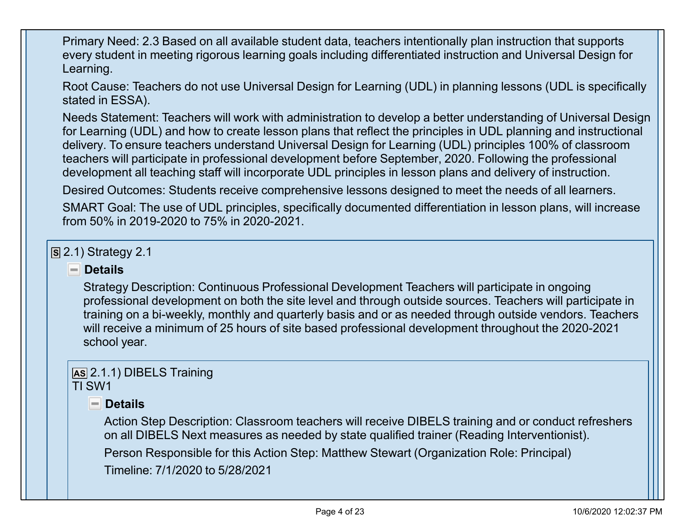Primary Need: 2.3 Based on all available student data, teachers intentionally plan instruction that supports every student in meeting rigorous learning goals including differentiated instruction and Universal Design for Learning.

Root Cause: Teachers do not use Universal Design for Learning (UDL) in planning lessons (UDL is specifically stated in ESSA).

Needs Statement: Teachers will work with administration to develop a better understanding of Universal Design for Learning (UDL) and how to create lesson plans that reflect the principles in UDL planning and instructional delivery. To ensure teachers understand Universal Design for Learning (UDL) principles 100% of classroom teachers will participate in professional development before September, 2020. Following the professional development all teaching staff will incorporate UDL principles in lesson plans and delivery of instruction.

Desired Outcomes: Students receive comprehensive lessons designed to meet the needs of all learners.

SMART Goal: The use of UDL principles, specifically documented differentiation in lesson plans, will increase from 50% in 2019-2020 to 75% in 2020-2021.

**S** 2.1) Strategy 2.1

#### **Details**

Strategy Description: Continuous Professional Development Teachers will participate in ongoing professional development on both the site level and through outside sources. Teachers will participate in training on a bi-weekly, monthly and quarterly basis and or as needed through outside vendors. Teachers will receive a minimum of 25 hours of site based professional development throughout the 2020-2021 school year.

#### **AS** 2.1.1) DIBELS Training TI SW1

## **Details**

Action Step Description: Classroom teachers will receive DIBELS training and or conduct refreshers on all DIBELS Next measures as needed by state qualified trainer (Reading Interventionist).

Person Responsible for this Action Step: Matthew Stewart (Organization Role: Principal)

Timeline: 7/1/2020 to 5/28/2021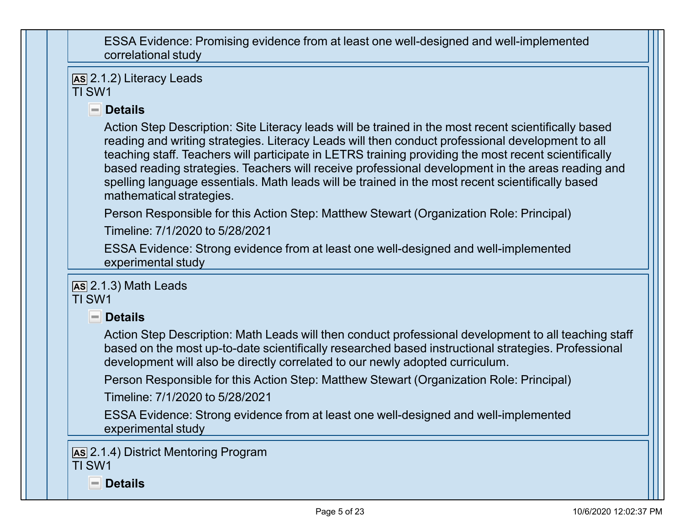ESSA Evidence: Promising evidence from at least one well-designed and well-implemented correlational study

**AS** 2.1.2) Literacy Leads TI SW1

# **Details**

Action Step Description: Site Literacy leads will be trained in the most recent scientifically based reading and writing strategies. Literacy Leads will then conduct professional development to all teaching staff. Teachers will participate in LETRS training providing the most recent scientifically based reading strategies. Teachers will receive professional development in the areas reading and spelling language essentials. Math leads will be trained in the most recent scientifically based mathematical strategies.

Person Responsible for this Action Step: Matthew Stewart (Organization Role: Principal)

Timeline: 7/1/2020 to 5/28/2021

ESSA Evidence: Strong evidence from at least one well-designed and well-implemented experimental study

**AS** 2.1.3) Math Leads TI SW1

**Details**

Action Step Description: Math Leads will then conduct professional development to all teaching staff based on the most up-to-date scientifically researched based instructional strategies. Professional development will also be directly correlated to our newly adopted curriculum.

Person Responsible for this Action Step: Matthew Stewart (Organization Role: Principal)

Timeline: 7/1/2020 to 5/28/2021

ESSA Evidence: Strong evidence from at least one well-designed and well-implemented experimental study

**AS** 2.1.4) District Mentoring Program TI SW1

**Details**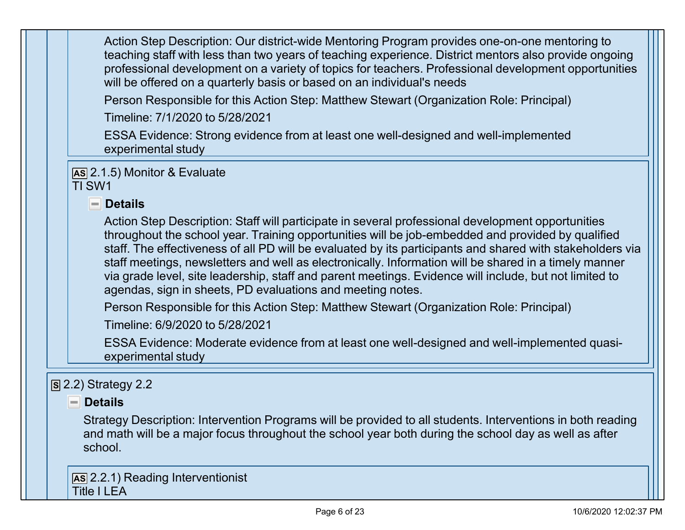Action Step Description: Our district-wide Mentoring Program provides one-on-one mentoring to teaching staff with less than two years of teaching experience. District mentors also provide ongoing professional development on a variety of topics for teachers. Professional development opportunities will be offered on a quarterly basis or based on an individual's needs

Person Responsible for this Action Step: Matthew Stewart (Organization Role: Principal)

Timeline: 7/1/2020 to 5/28/2021

ESSA Evidence: Strong evidence from at least one well-designed and well-implemented experimental study

**AS** 2.1.5) Monitor & Evaluate

TI SW1

#### **Details**

Action Step Description: Staff will participate in several professional development opportunities throughout the school year. Training opportunities will be job-embedded and provided by qualified staff. The effectiveness of all PD will be evaluated by its participants and shared with stakeholders via staff meetings, newsletters and well as electronically. Information will be shared in a timely manner via grade level, site leadership, staff and parent meetings. Evidence will include, but not limited to agendas, sign in sheets, PD evaluations and meeting notes.

Person Responsible for this Action Step: Matthew Stewart (Organization Role: Principal)

Timeline: 6/9/2020 to 5/28/2021

ESSA Evidence: Moderate evidence from at least one well-designed and well-implemented quasiexperimental study

## **S** 2.2) Strategy 2.2

#### **Details**

Strategy Description: Intervention Programs will be provided to all students. Interventions in both reading and math will be a major focus throughout the school year both during the school day as well as after school.

**AS** 2.2.1) Reading Interventionist Title I LEA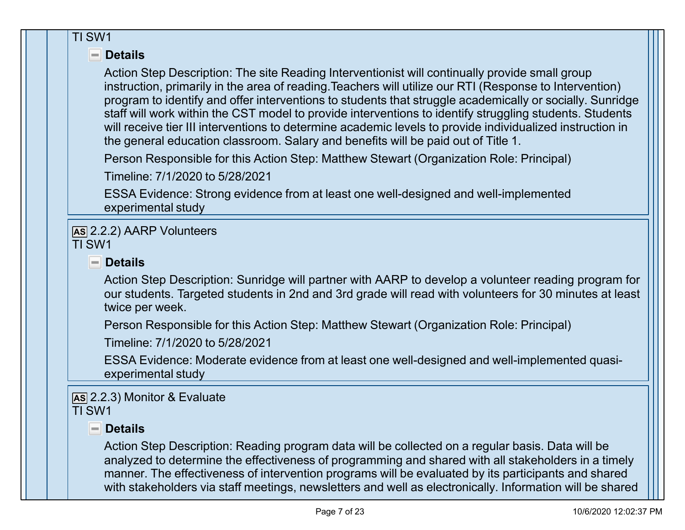#### TI SW1

#### **Details**

Action Step Description: The site Reading Interventionist will continually provide small group instruction, primarily in the area of reading. Teachers will utilize our RTI (Response to Intervention) program to identify and offer interventions to students that struggle academically or socially. Sunridge staff will work within the CST model to provide interventions to identify struggling students. Students will receive tier III interventions to determine academic levels to provide individualized instruction in the general education classroom. Salary and benefits will be paid out of Title 1.

Person Responsible for this Action Step: Matthew Stewart (Organization Role: Principal)

Timeline: 7/1/2020 to 5/28/2021

ESSA Evidence: Strong evidence from at least one well-designed and well-implemented experimental study

**AS** 2.2.2) AARP Volunteers TI SW1

# **Details**

Action Step Description: Sunridge will partner with AARP to develop a volunteer reading program for our students. Targeted students in 2nd and 3rd grade will read with volunteers for 30 minutes at least twice per week.

Person Responsible for this Action Step: Matthew Stewart (Organization Role: Principal)

Timeline: 7/1/2020 to 5/28/2021

ESSA Evidence: Moderate evidence from at least one well-designed and well-implemented quasiexperimental study

**AS** 2.2.3) Monitor & Evaluate TI SW1

# **Details**

Action Step Description: Reading program data will be collected on a regular basis. Data will be analyzed to determine the effectiveness of programming and shared with all stakeholders in a timely manner. The effectiveness of intervention programs will be evaluated by its participants and shared with stakeholders via staff meetings, newsletters and well as electronically. Information will be shared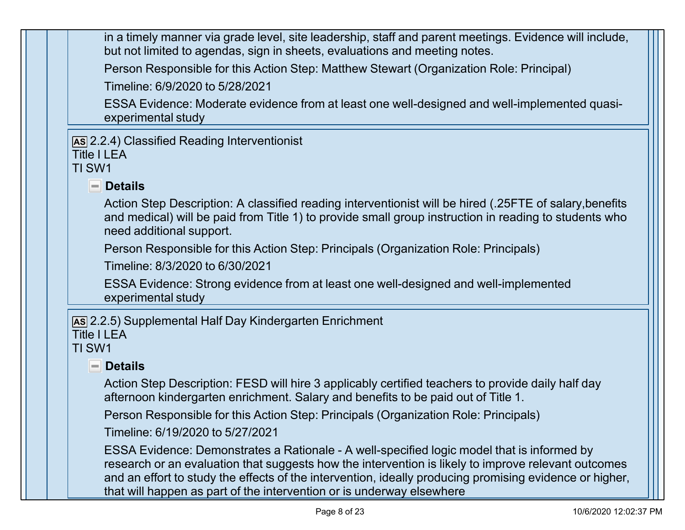in a timely manner via grade level, site leadership, staff and parent meetings. Evidence will include, but not limited to agendas, sign in sheets, evaluations and meeting notes.

Person Responsible for this Action Step: Matthew Stewart (Organization Role: Principal)

Timeline: 6/9/2020 to 5/28/2021

ESSA Evidence: Moderate evidence from at least one well-designed and well-implemented quasiexperimental study

**AS** 2.2.4) Classified Reading Interventionist Title I LEA

# TI SW1

# **Details**

Action Step Description: A classified reading interventionist will be hired (.25FTE of salary,benefits and medical) will be paid from Title 1) to provide small group instruction in reading to students who need additional support.

Person Responsible for this Action Step: Principals (Organization Role: Principals)

Timeline: 8/3/2020 to 6/30/2021

ESSA Evidence: Strong evidence from at least one well-designed and well-implemented experimental study

**AS** 2.2.5) Supplemental Half Day Kindergarten Enrichment

#### Title I I FA TI SW1

## **P**Details

Action Step Description: FESD will hire 3 applicably certified teachers to provide daily half day afternoon kindergarten enrichment. Salary and benefits to be paid out of Title 1.

Person Responsible for this Action Step: Principals (Organization Role: Principals)

Timeline: 6/19/2020 to 5/27/2021

ESSA Evidence: Demonstrates a Rationale - A well-specified logic model that is informed by research or an evaluation that suggests how the intervention is likely to improve relevant outcomes and an effort to study the effects of the intervention, ideally producing promising evidence or higher, that will happen as part of the intervention or is underway elsewhere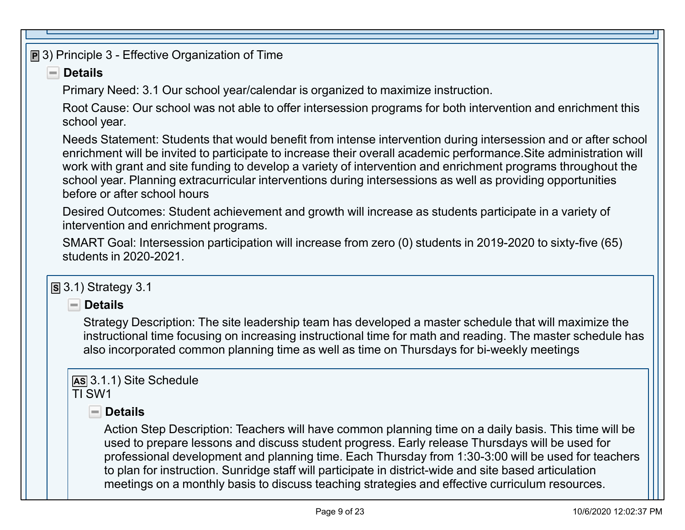**P** 3) Principle 3 - Effective Organization of Time

# **Details**

Primary Need: 3.1 Our school year/calendar is organized to maximize instruction.

Root Cause: Our school was not able to offer intersession programs for both intervention and enrichment this school year.

Needs Statement: Students that would benefit from intense intervention during intersession and or after school enrichment will be invited to participate to increase their overall academic performance.Site administration will work with grant and site funding to develop a variety of intervention and enrichment programs throughout the school year. Planning extracurricular interventions during intersessions as well as providing opportunities before or after school hours

Desired Outcomes: Student achievement and growth will increase as students participate in a variety of intervention and enrichment programs.

SMART Goal: Intersession participation will increase from zero (0) students in 2019-2020 to sixty-five (65) students in 2020-2021.

# **S** 3.1) Strategy 3.1

**Details**

Strategy Description: The site leadership team has developed a master schedule that will maximize the instructional time focusing on increasing instructional time for math and reading. The master schedule has also incorporated common planning time as well as time on Thursdays for bi-weekly meetings

#### **AS** 3.1.1) Site Schedule TI SW1

# **Details**

Action Step Description: Teachers will have common planning time on a daily basis. This time will be used to prepare lessons and discuss student progress. Early release Thursdays will be used for professional development and planning time. Each Thursday from 1:30-3:00 will be used for teachers to plan for instruction. Sunridge staff will participate in district-wide and site based articulation meetings on a monthly basis to discuss teaching strategies and effective curriculum resources.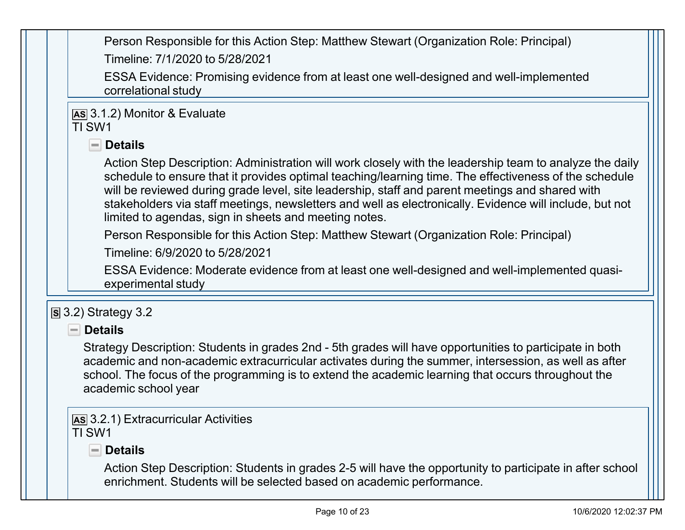Person Responsible for this Action Step: Matthew Stewart (Organization Role: Principal) Timeline: 7/1/2020 to 5/28/2021

ESSA Evidence: Promising evidence from at least one well-designed and well-implemented correlational study

#### **AS** 3.1.2) Monitor & Evaluate TI SW1

# **Details**

Action Step Description: Administration will work closely with the leadership team to analyze the daily schedule to ensure that it provides optimal teaching/learning time. The effectiveness of the schedule will be reviewed during grade level, site leadership, staff and parent meetings and shared with stakeholders via staff meetings, newsletters and well as electronically. Evidence will include, but not limited to agendas, sign in sheets and meeting notes.

Person Responsible for this Action Step: Matthew Stewart (Organization Role: Principal)

Timeline: 6/9/2020 to 5/28/2021

ESSA Evidence: Moderate evidence from at least one well-designed and well-implemented quasiexperimental study

## **S** 3.2) Strategy 3.2

## **Details**

Strategy Description: Students in grades 2nd - 5th grades will have opportunities to participate in both academic and non-academic extracurricular activates during the summer, intersession, as well as after school. The focus of the programming is to extend the academic learning that occurs throughout the academic school year

**AS** 3.2.1) Extracurricular Activities TI SW1

# **Details**

Action Step Description: Students in grades 2-5 will have the opportunity to participate in after school enrichment. Students will be selected based on academic performance.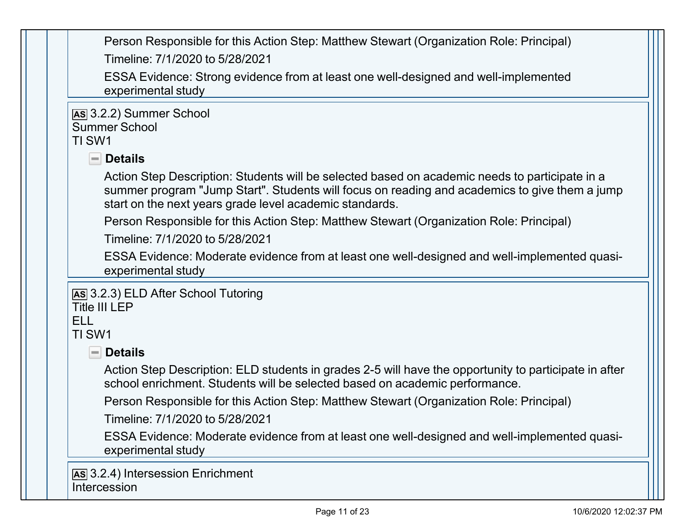Person Responsible for this Action Step: Matthew Stewart (Organization Role: Principal) Timeline: 7/1/2020 to 5/28/2021

ESSA Evidence: Strong evidence from at least one well-designed and well-implemented experimental study

**AS** 3.2.2) Summer School Summer School TI SW1

#### **Details**

Action Step Description: Students will be selected based on academic needs to participate in a summer program "Jump Start". Students will focus on reading and academics to give them a jump start on the next years grade level academic standards.

Person Responsible for this Action Step: Matthew Stewart (Organization Role: Principal)

Timeline: 7/1/2020 to 5/28/2021

ESSA Evidence: Moderate evidence from at least one well-designed and well-implemented quasiexperimental study

#### **AS** 3.2.3) ELD After School Tutoring

Title III I FP

ELL

#### TI SW1

#### **Details**

Action Step Description: ELD students in grades 2-5 will have the opportunity to participate in after school enrichment. Students will be selected based on academic performance.

Person Responsible for this Action Step: Matthew Stewart (Organization Role: Principal)

Timeline: 7/1/2020 to 5/28/2021

ESSA Evidence: Moderate evidence from at least one well-designed and well-implemented quasiexperimental study

**AS** 3.2.4) Intersession Enrichment **Intercession**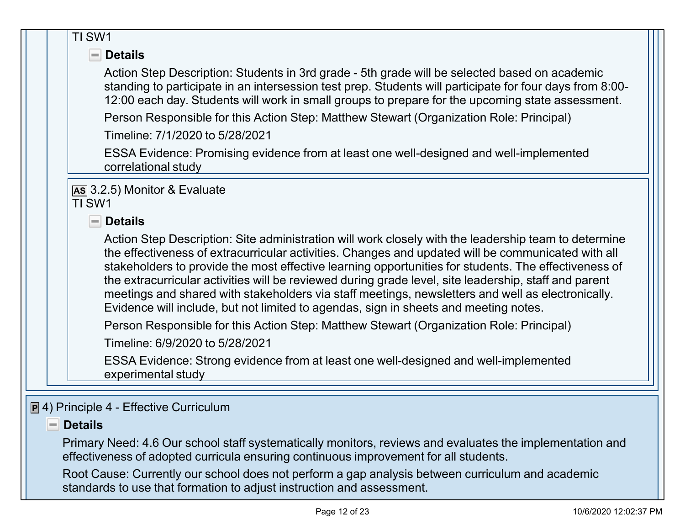|  | TI SW1                                                                                                                                                                                                                                                                                                                                                                                                                                                                                                                                                                                                                   |
|--|--------------------------------------------------------------------------------------------------------------------------------------------------------------------------------------------------------------------------------------------------------------------------------------------------------------------------------------------------------------------------------------------------------------------------------------------------------------------------------------------------------------------------------------------------------------------------------------------------------------------------|
|  | <b>Details</b><br>$\overline{\phantom{a}}$                                                                                                                                                                                                                                                                                                                                                                                                                                                                                                                                                                               |
|  | Action Step Description: Students in 3rd grade - 5th grade will be selected based on academic<br>standing to participate in an intersession test prep. Students will participate for four days from 8:00-<br>12:00 each day. Students will work in small groups to prepare for the upcoming state assessment.                                                                                                                                                                                                                                                                                                            |
|  | Person Responsible for this Action Step: Matthew Stewart (Organization Role: Principal)                                                                                                                                                                                                                                                                                                                                                                                                                                                                                                                                  |
|  | Timeline: 7/1/2020 to 5/28/2021                                                                                                                                                                                                                                                                                                                                                                                                                                                                                                                                                                                          |
|  | ESSA Evidence: Promising evidence from at least one well-designed and well-implemented<br>correlational study                                                                                                                                                                                                                                                                                                                                                                                                                                                                                                            |
|  | [AS 3.2.5] Monitor & Evaluate<br>TI SW1<br><b>Details</b><br>$=$ $\overline{ }$                                                                                                                                                                                                                                                                                                                                                                                                                                                                                                                                          |
|  | Action Step Description: Site administration will work closely with the leadership team to determine<br>the effectiveness of extracurricular activities. Changes and updated will be communicated with all<br>stakeholders to provide the most effective learning opportunities for students. The effectiveness of<br>the extracurricular activities will be reviewed during grade level, site leadership, staff and parent<br>meetings and shared with stakeholders via staff meetings, newsletters and well as electronically.<br>Evidence will include, but not limited to agendas, sign in sheets and meeting notes. |
|  | Person Responsible for this Action Step: Matthew Stewart (Organization Role: Principal)<br>Timeline: 6/9/2020 to 5/28/2021                                                                                                                                                                                                                                                                                                                                                                                                                                                                                               |
|  | ESSA Evidence: Strong evidence from at least one well-designed and well-implemented<br>experimental study                                                                                                                                                                                                                                                                                                                                                                                                                                                                                                                |
|  | $\boxed{\mathbf{P}}$ 4) Principle 4 - Effective Curriculum                                                                                                                                                                                                                                                                                                                                                                                                                                                                                                                                                               |

#### **P** Details

Primary Need: 4.6 Our school staff systematically monitors, reviews and evaluates the implementation and effectiveness of adopted curricula ensuring continuous improvement for all students.

Root Cause: Currently our school does not perform a gap analysis between curriculum and academic standards to use that formation to adjust instruction and assessment.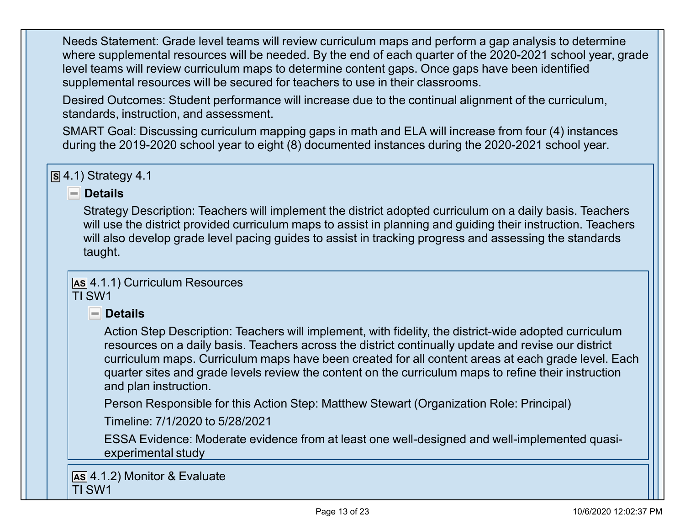Needs Statement: Grade level teams will review curriculum maps and perform a gap analysis to determine where supplemental resources will be needed. By the end of each quarter of the 2020-2021 school year, grade level teams will review curriculum maps to determine content gaps. Once gaps have been identified supplemental resources will be secured for teachers to use in their classrooms.

Desired Outcomes: Student performance will increase due to the continual alignment of the curriculum, standards, instruction, and assessment.

SMART Goal: Discussing curriculum mapping gaps in math and ELA will increase from four (4) instances during the 2019-2020 school year to eight (8) documented instances during the 2020-2021 school year.

**S** 4.1) Strategy 4.1

#### **Details**

Strategy Description: Teachers will implement the district adopted curriculum on a daily basis. Teachers will use the district provided curriculum maps to assist in planning and guiding their instruction. Teachers will also develop grade level pacing guides to assist in tracking progress and assessing the standards taught.

**AS** 4.1.1) Curriculum Resources TI SW1

## **Details**

Action Step Description: Teachers will implement, with fidelity, the district-wide adopted curriculum resources on a daily basis. Teachers across the district continually update and revise our district curriculum maps. Curriculum maps have been created for all content areas at each grade level. Each quarter sites and grade levels review the content on the curriculum maps to refine their instruction and plan instruction.

Person Responsible for this Action Step: Matthew Stewart (Organization Role: Principal)

Timeline: 7/1/2020 to 5/28/2021

ESSA Evidence: Moderate evidence from at least one well-designed and well-implemented quasiexperimental study

**AS** 4.1.2) Monitor & Evaluate TI SW1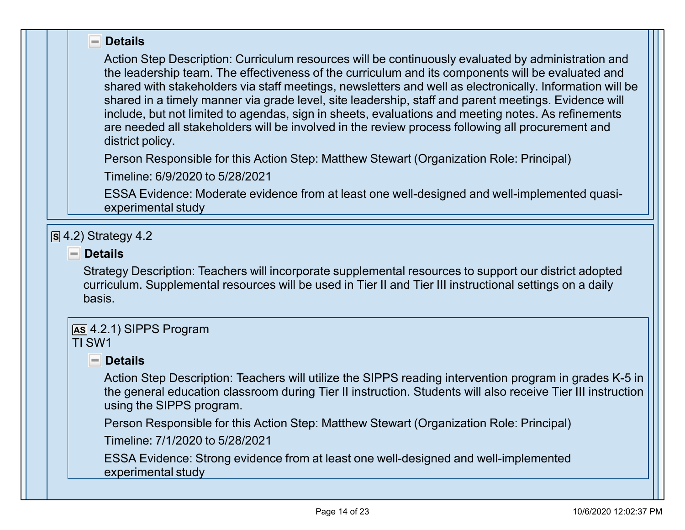#### **Details**

Action Step Description: Curriculum resources will be continuously evaluated by administration and the leadership team. The effectiveness of the curriculum and its components will be evaluated and shared with stakeholders via staff meetings, newsletters and well as electronically. Information will be shared in a timely manner via grade level, site leadership, staff and parent meetings. Evidence will include, but not limited to agendas, sign in sheets, evaluations and meeting notes. As refinements are needed all stakeholders will be involved in the review process following all procurement and district policy.

Person Responsible for this Action Step: Matthew Stewart (Organization Role: Principal)

Timeline: 6/9/2020 to 5/28/2021

ESSA Evidence: Moderate evidence from at least one well-designed and well-implemented quasiexperimental study

#### **S** 4.2) Strategy 4.2

#### **Details**

Strategy Description: Teachers will incorporate supplemental resources to support our district adopted curriculum. Supplemental resources will be used in Tier II and Tier III instructional settings on a daily basis.

#### **AS** 4.2.1) SIPPS Program TI SW1

# **Details**

Action Step Description: Teachers will utilize the SIPPS reading intervention program in grades K-5 in the general education classroom during Tier II instruction. Students will also receive Tier III instruction using the SIPPS program.

Person Responsible for this Action Step: Matthew Stewart (Organization Role: Principal)

Timeline: 7/1/2020 to 5/28/2021

ESSA Evidence: Strong evidence from at least one well-designed and well-implemented experimental study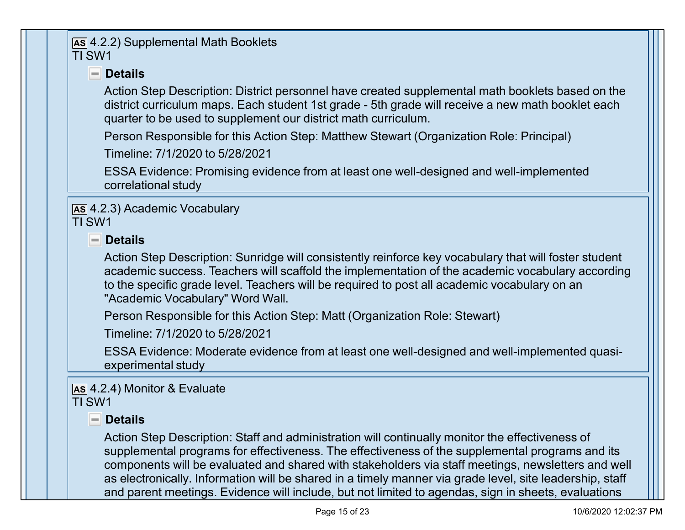#### **AS** 4.2.2) Supplemental Math Booklets TI SW1

# **Details**

Action Step Description: District personnel have created supplemental math booklets based on the district curriculum maps. Each student 1st grade - 5th grade will receive a new math booklet each quarter to be used to supplement our district math curriculum.

Person Responsible for this Action Step: Matthew Stewart (Organization Role: Principal)

Timeline: 7/1/2020 to 5/28/2021

ESSA Evidence: Promising evidence from at least one well-designed and well-implemented correlational study

**AS** 4.2.3) Academic Vocabulary TI SW1

**Details**

Action Step Description: Sunridge will consistently reinforce key vocabulary that will foster student academic success. Teachers will scaffold the implementation of the academic vocabulary according to the specific grade level. Teachers will be required to post all academic vocabulary on an "Academic Vocabulary" Word Wall.

Person Responsible for this Action Step: Matt (Organization Role: Stewart)

Timeline: 7/1/2020 to 5/28/2021

ESSA Evidence: Moderate evidence from at least one well-designed and well-implemented quasiexperimental study

# **AS** 4.2.4) Monitor & Evaluate

TI SW1

## **Details**

Action Step Description: Staff and administration will continually monitor the effectiveness of supplemental programs for effectiveness. The effectiveness of the supplemental programs and its components will be evaluated and shared with stakeholders via staff meetings, newsletters and well as electronically. Information will be shared in a timely manner via grade level, site leadership, staff and parent meetings. Evidence will include, but not limited to agendas, sign in sheets, evaluations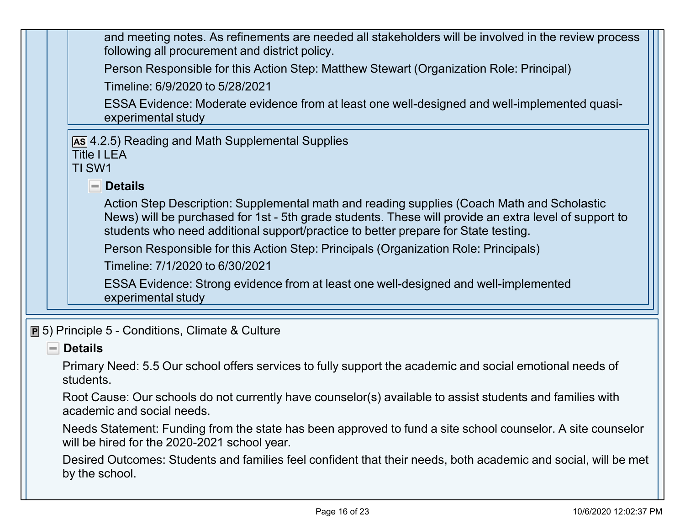| and meeting notes. As refinements are needed all stakeholders will be involved in the review process<br>following all procurement and district policy.                                                                                                                                    |  |
|-------------------------------------------------------------------------------------------------------------------------------------------------------------------------------------------------------------------------------------------------------------------------------------------|--|
| Person Responsible for this Action Step: Matthew Stewart (Organization Role: Principal)                                                                                                                                                                                                   |  |
| Timeline: 6/9/2020 to 5/28/2021                                                                                                                                                                                                                                                           |  |
| ESSA Evidence: Moderate evidence from at least one well-designed and well-implemented quasi-<br>experimental study                                                                                                                                                                        |  |
| As 4.2.5) Reading and Math Supplemental Supplies<br><b>Title I LEA</b><br>TI SW1                                                                                                                                                                                                          |  |
| <b>Details</b><br>$\equiv$                                                                                                                                                                                                                                                                |  |
| Action Step Description: Supplemental math and reading supplies (Coach Math and Scholastic<br>News) will be purchased for 1st - 5th grade students. These will provide an extra level of support to<br>students who need additional support/practice to better prepare for State testing. |  |
| Person Responsible for this Action Step: Principals (Organization Role: Principals)                                                                                                                                                                                                       |  |
| Timeline: 7/1/2020 to 6/30/2021                                                                                                                                                                                                                                                           |  |
| ESSA Evidence: Strong evidence from at least one well-designed and well-implemented<br>experimental study                                                                                                                                                                                 |  |
| <b>P</b> 5) Principle 5 - Conditions, Climate & Culture                                                                                                                                                                                                                                   |  |

#### **Details**

Primary Need: 5.5 Our school offers services to fully support the academic and social emotional needs of students.

Root Cause: Our schools do not currently have counselor(s) available to assist students and families with academic and social needs.

Needs Statement: Funding from the state has been approved to fund a site school counselor. A site counselor will be hired for the 2020-2021 school year.

Desired Outcomes: Students and families feel confident that their needs, both academic and social, will be met by the school.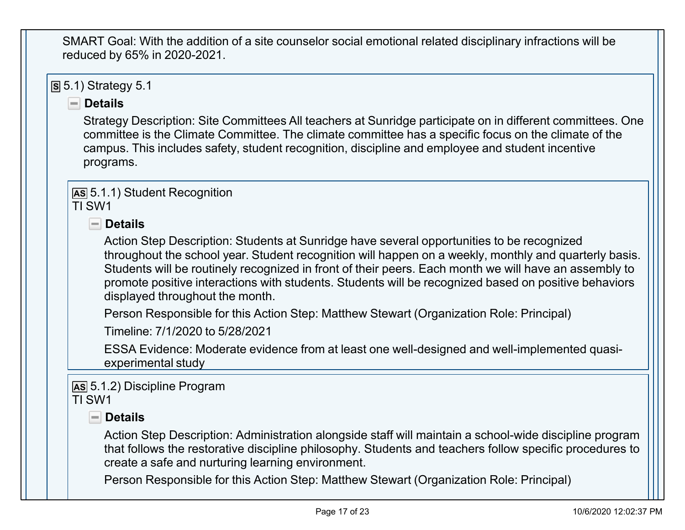SMART Goal: With the addition of a site counselor social emotional related disciplinary infractions will be reduced by 65% in 2020-2021.

**S** 5.1) Strategy 5.1

#### **Details**

Strategy Description: Site Committees All teachers at Sunridge participate on in different committees. One committee is the Climate Committee. The climate committee has a specific focus on the climate of the campus. This includes safety, student recognition, discipline and employee and student incentive programs.

**AS** 5.1.1) Student Recognition TI SW1

**Details**

Action Step Description: Students at Sunridge have several opportunities to be recognized throughout the school year. Student recognition will happen on a weekly, monthly and quarterly basis. Students will be routinely recognized in front of their peers. Each month we will have an assembly to promote positive interactions with students. Students will be recognized based on positive behaviors displayed throughout the month.

Person Responsible for this Action Step: Matthew Stewart (Organization Role: Principal)

Timeline: 7/1/2020 to 5/28/2021

ESSA Evidence: Moderate evidence from at least one well-designed and well-implemented quasiexperimental study

**AS** 5.1.2) Discipline Program TI SW1

# **Details**

Action Step Description: Administration alongside staff will maintain a school-wide discipline program that follows the restorative discipline philosophy. Students and teachers follow specific procedures to create a safe and nurturing learning environment.

Person Responsible for this Action Step: Matthew Stewart (Organization Role: Principal)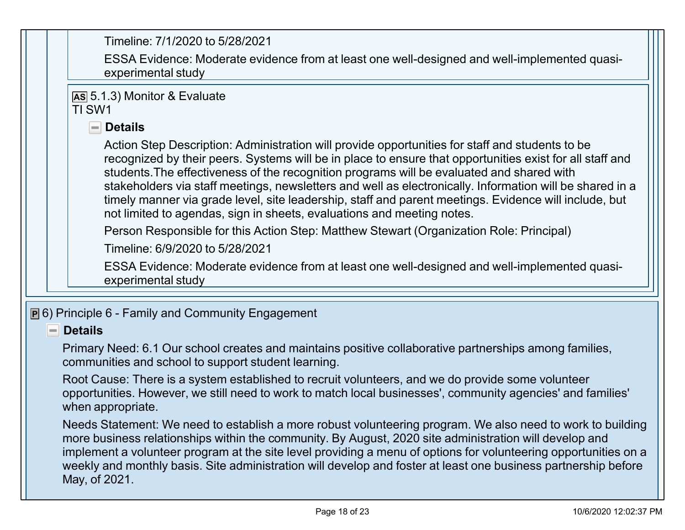Timeline: 7/1/2020 to 5/28/2021

ESSA Evidence: Moderate evidence from at least one well-designed and well-implemented quasiexperimental study

**AS** 5.1.3) Monitor & Evaluate TI SW1

#### **Details**

Action Step Description: Administration will provide opportunities for staff and students to be recognized by their peers. Systems will be in place to ensure that opportunities exist for all staff and students.The effectiveness of the recognition programs will be evaluated and shared with stakeholders via staff meetings, newsletters and well as electronically. Information will be shared in a timely manner via grade level, site leadership, staff and parent meetings. Evidence will include, but not limited to agendas, sign in sheets, evaluations and meeting notes.

Person Responsible for this Action Step: Matthew Stewart (Organization Role: Principal)

Timeline: 6/9/2020 to 5/28/2021

ESSA Evidence: Moderate evidence from at least one well-designed and well-implemented quasiexperimental study

**P** 6) Principle 6 - Family and Community Engagement

#### **Details**  $\overline{\phantom{a}}$

Primary Need: 6.1 Our school creates and maintains positive collaborative partnerships among families, communities and school to support student learning.

Root Cause: There is a system established to recruit volunteers, and we do provide some volunteer opportunities. However, we still need to work to match local businesses', community agencies' and families' when appropriate.

Needs Statement: We need to establish a more robust volunteering program. We also need to work to building more business relationships within the community. By August, 2020 site administration will develop and implement a volunteer program at the site level providing a menu of options for volunteering opportunities on a weekly and monthly basis. Site administration will develop and foster at least one business partnership before May, of 2021.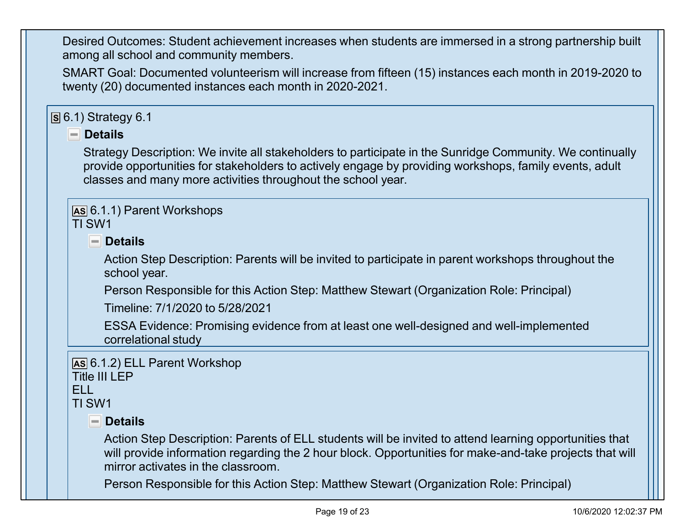Desired Outcomes: Student achievement increases when students are immersed in a strong partnership built among all school and community members.

SMART Goal: Documented volunteerism will increase from fifteen (15) instances each month in 2019-2020 to twenty (20) documented instances each month in 2020-2021.

#### **S** 6.1) Strategy 6.1

#### **P** Details

Strategy Description: We invite all stakeholders to participate in the Sunridge Community. We continually provide opportunities for stakeholders to actively engage by providing workshops, family events, adult classes and many more activities throughout the school year.

#### **AS** 6.1.1) Parent Workshops TI SW1

**Details**

Action Step Description: Parents will be invited to participate in parent workshops throughout the school year.

Person Responsible for this Action Step: Matthew Stewart (Organization Role: Principal)

Timeline: 7/1/2020 to 5/28/2021

ESSA Evidence: Promising evidence from at least one well-designed and well-implemented correlational study

```
AS 6.1.2) ELL Parent Workshop
```
Title III LEP

ELL

TI SW1

## **Details**

Action Step Description: Parents of ELL students will be invited to attend learning opportunities that will provide information regarding the 2 hour block. Opportunities for make-and-take projects that will mirror activates in the classroom.

Person Responsible for this Action Step: Matthew Stewart (Organization Role: Principal)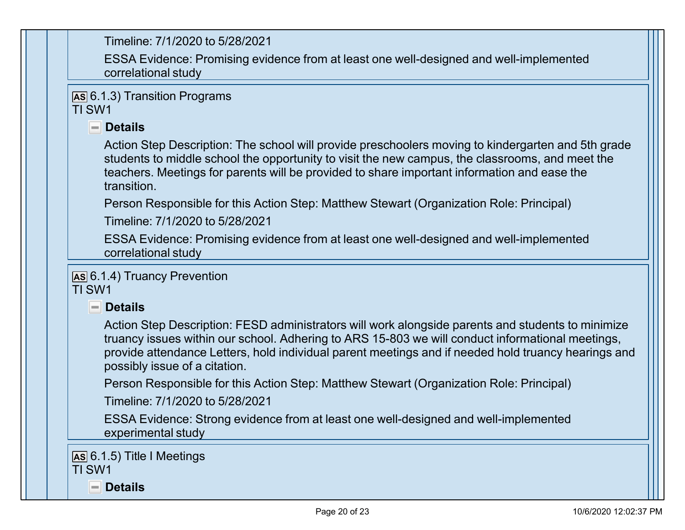Timeline: 7/1/2020 to 5/28/2021

ESSA Evidence: Promising evidence from at least one well-designed and well-implemented correlational study

**AS** 6.1.3) Transition Programs TI SW1

#### **Details**

Action Step Description: The school will provide preschoolers moving to kindergarten and 5th grade students to middle school the opportunity to visit the new campus, the classrooms, and meet the teachers. Meetings for parents will be provided to share important information and ease the transition.

Person Responsible for this Action Step: Matthew Stewart (Organization Role: Principal)

Timeline: 7/1/2020 to 5/28/2021

ESSA Evidence: Promising evidence from at least one well-designed and well-implemented correlational study

**AS** 6.1.4) Truancy Prevention TI SW1

**Details**

Action Step Description: FESD administrators will work alongside parents and students to minimize truancy issues within our school. Adhering to ARS 15-803 we will conduct informational meetings, provide attendance Letters, hold individual parent meetings and if needed hold truancy hearings and possibly issue of a citation.

Person Responsible for this Action Step: Matthew Stewart (Organization Role: Principal)

Timeline: 7/1/2020 to 5/28/2021

ESSA Evidence: Strong evidence from at least one well-designed and well-implemented experimental study

**AS** 6.1.5) Title I Meetings TI SW1

**Details**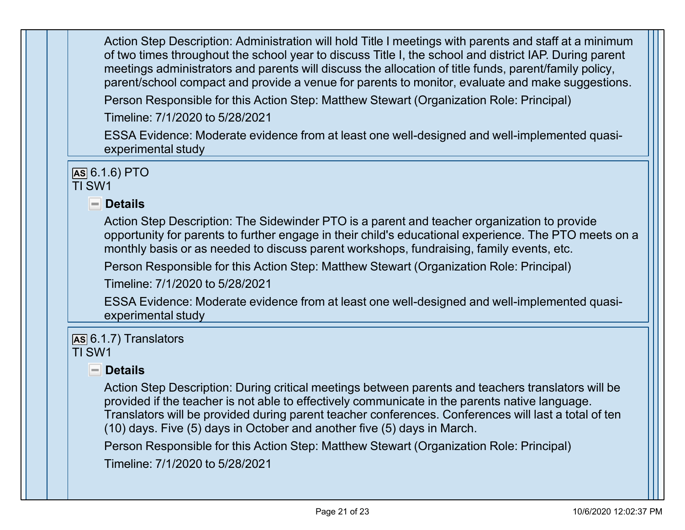Action Step Description: Administration will hold Title I meetings with parents and staff at a minimum of two times throughout the school year to discuss Title I, the school and district IAP. During parent meetings administrators and parents will discuss the allocation of title funds, parent/family policy, parent/school compact and provide a venue for parents to monitor, evaluate and make suggestions.

Person Responsible for this Action Step: Matthew Stewart (Organization Role: Principal)

Timeline: 7/1/2020 to 5/28/2021

ESSA Evidence: Moderate evidence from at least one well-designed and well-implemented quasiexperimental study

**AS** 6.1.6) PTO TI SW1

**Details**

Action Step Description: The Sidewinder PTO is a parent and teacher organization to provide opportunity for parents to further engage in their child's educational experience. The PTO meets on a monthly basis or as needed to discuss parent workshops, fundraising, family events, etc.

Person Responsible for this Action Step: Matthew Stewart (Organization Role: Principal)

Timeline: 7/1/2020 to 5/28/2021

ESSA Evidence: Moderate evidence from at least one well-designed and well-implemented quasiexperimental study

#### **AS** 6.1.7) Translators TI SW1

**Details**

Action Step Description: During critical meetings between parents and teachers translators will be provided if the teacher is not able to effectively communicate in the parents native language. Translators will be provided during parent teacher conferences. Conferences will last a total of ten (10) days. Five (5) days in October and another five (5) days in March.

Person Responsible for this Action Step: Matthew Stewart (Organization Role: Principal)

Timeline: 7/1/2020 to 5/28/2021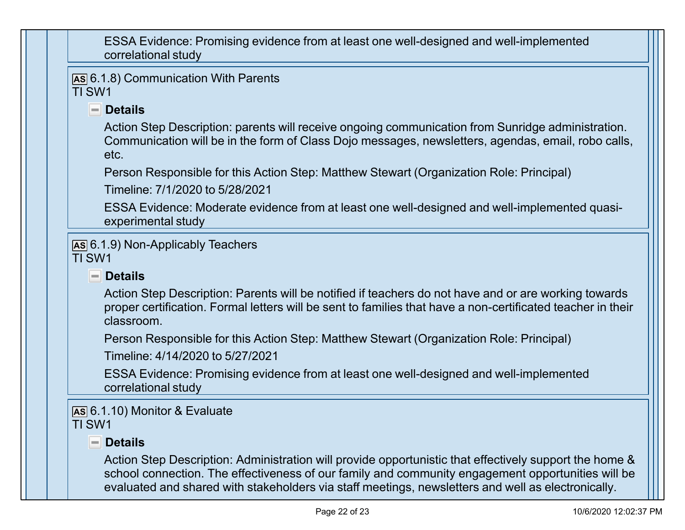ESSA Evidence: Promising evidence from at least one well-designed and well-implemented correlational study

**AS** 6.1.8) Communication With Parents TI SW1

# **Details**

Action Step Description: parents will receive ongoing communication from Sunridge administration. Communication will be in the form of Class Dojo messages, newsletters, agendas, email, robo calls, etc.

Person Responsible for this Action Step: Matthew Stewart (Organization Role: Principal)

Timeline: 7/1/2020 to 5/28/2021

ESSA Evidence: Moderate evidence from at least one well-designed and well-implemented quasiexperimental study

**AS** 6.1.9) Non-Applicably Teachers TI SW1

# **Details**

Action Step Description: Parents will be notified if teachers do not have and or are working towards proper certification. Formal letters will be sent to families that have a non-certificated teacher in their classroom.

Person Responsible for this Action Step: Matthew Stewart (Organization Role: Principal)

Timeline: 4/14/2020 to 5/27/2021

ESSA Evidence: Promising evidence from at least one well-designed and well-implemented correlational study

#### **AS** 6.1.10) Monitor & Evaluate TI SW1

## **Details**

Action Step Description: Administration will provide opportunistic that effectively support the home & school connection. The effectiveness of our family and community engagement opportunities will be evaluated and shared with stakeholders via staff meetings, newsletters and well as electronically.